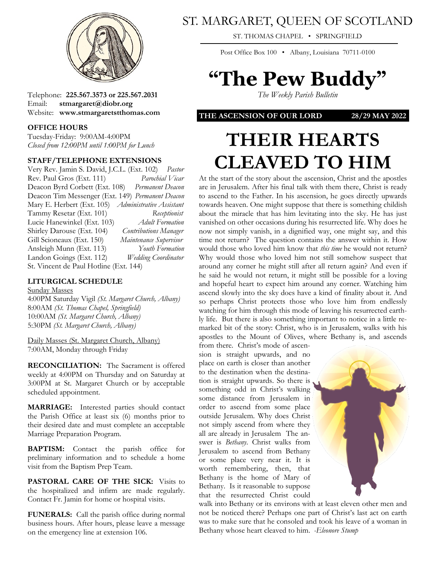

Telephone: **225.567.3573 or 225.567.2031** Email: **stmargaret@diobr.org** Website: **www.stmargaretstthomas.com**

### **OFFICE HOURS**

Tuesday-Friday: 9:00AM-4:00PM *Closed from 12:00PM until 1:00PM for Lunch*

### **STAFF/TELEPHONE EXTENSIONS**

Very Rev. Jamin S. David, J.C.L. (Ext. 102) *Pastor* Rev. Paul Gros (Ext. 111) *Parochial Vicar* Deacon Byrd Corbett (Ext. 108) *Permanent Deacon* Deacon Tim Messenger (Ext. 149) *Permanent Deacon* Mary E. Herbert (Ext. 105) *Administrative Assistant* Tammy Resetar (Ext. 101) *Receptionist* Lucie Hanewinkel (Ext. 103) *Adult Formation* Shirley Darouse (Ext. 104) *Contributions Manager* Gill Scioneaux (Ext. 150) *Maintenance Supervisor* Ansleigh Munn (Ext. 113) *Youth Formation* Landon Goings (Ext. 112) *Wedding Coordinator* St. Vincent de Paul Hotline (Ext. 144)

## **LITURGICAL SCHEDULE**

#### Sunday Masses

4:00PM Saturday Vigil *(St. Margaret Church, Albany)* 8:00AM *(St. Thomas Chapel, Springfield)* 10:00AM *(St. Margaret Church, Albany)* 5:30PM *(St. Margaret Church, Albany)*

Daily Masses (St. Margaret Church, Albany) 7:00AM, Monday through Friday

**RECONCILIATION:** The Sacrament is offered weekly at 4:00PM on Thursday and on Saturday at 3:00PM at St. Margaret Church or by acceptable scheduled appointment.

**MARRIAGE:** Interested parties should contact the Parish Office at least six (6) months prior to their desired date and must complete an acceptable Marriage Preparation Program.

**BAPTISM:** Contact the parish office for preliminary information and to schedule a home visit from the Baptism Prep Team.

PASTORAL CARE OF THE SICK: Visits to the hospitalized and infirm are made regularly. Contact Fr. Jamin for home or hospital visits.

**FUNERALS:** Call the parish office during normal business hours. After hours, please leave a message on the emergency line at extension 106.

# ST. MARGARET, QUEEN OF SCOTLAND

ST. THOMAS CHAPEL • SPRINGFIELD

Post Office Box 100 • Albany, Louisiana 70711-0100

# **"The Pew Buddy"**

*The Weekly Parish Bulletin*

**THE ASCENSION OF OUR LORD 28/29 MAY 2022**

# **THEIR HEARTS CLEAVED TO HIM**

At the start of the story about the ascension, Christ and the apostles are in Jerusalem. After his final talk with them there, Christ is ready to ascend to the Father. In his ascension, he goes directly upwards towards heaven. One might suppose that there is something childish about the miracle that has him levitating into the sky. He has just vanished on other occasions during his resurrected life. Why does he now not simply vanish, in a dignified way, one might say, and this time not return? The question contains the answer within it. How would those who loved him know that *this time* he would not return? Why would those who loved him not still somehow suspect that around any corner he might still after all return again? And even if he said he would not return, it might still be possible for a loving and hopeful heart to expect him around any corner. Watching him ascend slowly into the sky does have a kind of finality about it. And so perhaps Christ protects those who love him from endlessly watching for him through this mode of leaving his resurrected earthly life. But there is also something important to notice in a little remarked bit of the story: Christ, who is in Jerusalem, walks with his apostles to the Mount of Olives, where Bethany is, and ascends from there. Christ's mode of ascen-

sion is straight upwards, and no place on earth is closer than another to the destination when the destination is straight upwards. So there is something odd in Christ's walking some distance from Jerusalem in order to ascend from some place outside Jerusalem. Why does Christ not simply ascend from where they all are already in Jerusalem The answer is *Bethany*. Christ walks from Jerusalem to ascend from Bethany or some place very near it. It is worth remembering, then, that Bethany is the home of Mary of Bethany. Is it reasonable to suppose that the resurrected Christ could



walk into Bethany or its environs with at least eleven other men and not be noticed there? Perhaps one part of Christ's last act on earth was to make sure that he consoled and took his leave of a woman in Bethany whose heart cleaved to him. *-Eleonore Stump*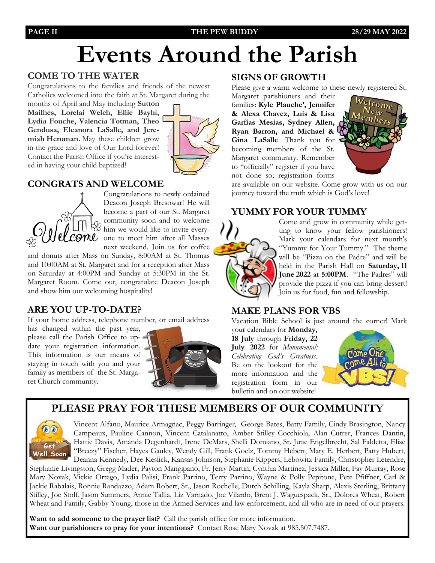## **PAGE II THE PEW BUDDY 28/29 MAY 2022**

# **Events Around the Parish**

# **COME TO THE WATER**

Congratulations to the families and friends of the newest Catholics welcomed into the faith at St. Margaret during the

months of April and May including **Sutton Mailhes, Lorelai Welch, Ellie Bayhi, Lydia Fouche, Valencia Totman, Theo Gendusa, Eleanora LaSalle, and Jeremiah Heroman.** May these children grow in the grace and love of Our Lord forever! Contact the Parish Office if you're interested in having your child baptized!



# **CONGRATS AND WELCOME**



Congratulations to newly ordained Deacon Joseph Bresowar! He will become a part of our St. Margaret community soon and to welcome of community soon were like to invite every-<br> $\frac{1}{2}$  thim we would like to invite every-COMU one to meet him after all Masses next weekend. Join us for coffee

and donuts after Mass on Sunday, 8:00AM at St. Thomas and 10:00AM at St. Margaret and for a reception after Mass on Saturday at 4:00PM and Sunday at 5:30PM in the St. Margaret Room. Come out, congratulate Deacon Joseph and show him our welcoming hospitality!

# **ARE YOU UP-TO-DATE?**

If your home address, telephone number, or email address

has changed within the past year, please call the Parish Office to update your registration information. This information is our means of staying in touch with you and your family as members of the St. Margaret Church community.



## **SIGNS OF GROWTH**

Please give a warm welcome to these newly registered St.

Margaret parishioners and their families: **Kyle Plauche', Jennifer & Alexa Chavez, Luis & Lisa Garfias Mesias, Sydney Allen, Ryan Barron, and Michael & Gina LaSalle**. Thank you for becoming members of the St. Margaret community. Remember to "officially" register if you have not done so; registration forms



are available on our website. Come grow with us on our journey toward the truth which is God's love!

# **YUMMY FOR YOUR TUMMY**



Come and grow in community while getting to know your fellow parishioners! Mark your calendars for next month's "Yummy for Your Tummy." The theme will be "Pizza on the Padre" and will be held in the Parish Hall on **Saturday, 11 June 2022** at **5:00PM**. "The Padres" will provide the pizza if you can bring dessert! Join us for food, fun and fellowship.

# **MAKE PLANS FOR VBS**

Vacation Bible School is just around the corner! Mark your calendars for **Monday,** 

**18 July** through **Friday, 22 July 2022** for *Monumental: Celebrating God's Greatness*. Be on the lookout for the more information and the registration form in our bulletin and on our website!



# **PLEASE PRAY FOR THESE MEMBERS OF OUR COMMUNITY**



Vincent Alfano, Maurice Armagnac, Peggy Barringer, George Bates, Batty Family, Cindy Brasington, Nancy Campeaux, Pauline Cannon, Vincent Catalanatto, Amber Stilley Cocchiola, Alan Cutrer, Frances Dantin, Hattie Davis, Amanda Degenhardt, Irene DeMars, Shelli Domiano, Sr. June Engelbrecht, Sal Faldetta, Elise "Breezy" Fischer, Hayes Gauley, Wendy Gill, Frank Goelz, Tommy Hebert, Mary E. Herbert, Patty Hubert, Deanna Kennedy, Dee Keslick, Kansas Johnson, Stephanie Kippers, Lebowitz Family, Christopher Letendre,

Stephanie Livingston, Gregg Mader, Payton Mangipano, Fr. Jerry Martin, Cynthia Martinez, Jessica Miller, Fay Murray, Rose Mary Novak, Vickie Ortego, Lydia Palisi, Frank Parrino, Terry Parrino, Wayne & Polly Pepitone, Pete Pfiffner, Carl & Jackie Rabalais, Ronnie Randazzo, Adam Robert, Sr., Jason Rochelle, Dutch Schilling, Kayla Sharp, Alexis Sterling, Brittany Stilley, Joe Stolf, Jason Summers, Annie Tallia, Liz Varnado, Joe Vilardo, Brent J. Waguespack, Sr., Dolores Wheat, Robert Wheat and Family, Gabby Young, those in the Armed Services and law enforcement, and all who are in need of our prayers.

**Want to add someone to the prayer list?** Call the parish office for more information. **Want our parishioners to pray for your intentions?** Contact Rose Mary Novak at 985.507.7487.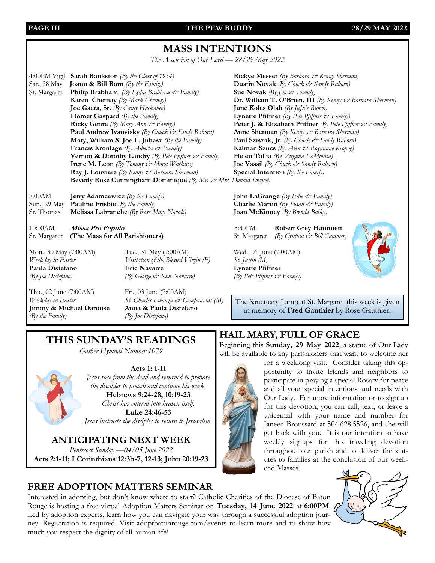**PAGE III THE PEW BUDDY 28/29 MAY 2022**

# **MASS INTENTIONS**

*The Ascension of Our Lord — 28/29 May 2022*

4:00PM Vigil **Sarah Bankston** *(By the Class of 1954)* **Rickye Messer** *(By Barbara & Kenny Sherman)* Sat., 28 May **Joann & Bill Born** *(By the Family)* **Dustin Novak** *(By Chuck & Sandy Raborn)* St. Margaret **Philip Brabham** *(By Lydia Brabham & Family)* **Sue Novak** *(By Jim & Family)* **Karen Chemay** *(By Mark Chemay)* **Dr. William T. O'Brien, III** *(By Kenny & Barbara Sherman)* **Joe Gaeta, Sr.** *(By Cathy Huckabee)* **June Koles Olah** *(By JuJu's Bunch)* **Homer Gaspard** *(By the Family)* **Lynette Pfiffner** *(By Pete Pfiffner*  $\mathcal{C}$  *Family)* **Ricky Genre** *(By Mary Ann & Family)* **Peter J. & Elizabeth Pfiffner** *(By Pete Pfiffner & Family)* **Paul Andrew Ivanyisky** *(By Chuck & Sandy Raborn)* **Anne Sherman** *(By Kenny & Barbara Sherman)* **Mary, William & Joe L. Juhasz** *(By the Family)* **Paul Sziszak, Jr.** *(By Chuck & Sandy Raborn)* **Francis Kronlage** *(By Alberta & Family)* **Kalman Szucs** *(By Alex & Royannne Kropog)* **Vernon & Dorothy Landry** *(By Pete Pfiffner & Family)* **Helen Tallia** *(By Virginia LaMonica)* **Irene M. Leon** *(By Tommy & Mona Watkins)* **Joe Vassil** *(By Chuck & Sandy Raborn)* **Ray J. Louviere** *(By Kenny & Barbara Sherman)* **Special Intention** *(By the Family)* **Beverly Rose Cunningham Dominique** *(By Mr. & Mrs. Donald Soignet)*

8:00AM **Jerry Adamcewicz** *(By the Family)* **John LaGrange** *(By Edie & Family)* Sun., 29 May **Pauline Frisbie** *(By the Family)* **Charlie Martin** *(By Susan & Family)* St. Thomas **Melissa Labranche** *(By Rose Mary Novak)* **Joan McKinney** *(By Brenda Bailey)*

10:00AM **Missa Pro Populo** 5:30PM **Robert Grey Hammett** St. Margaret **(The Mass for All Parishioners)** St. Margaret *(By Cynthia & Bill Cummer)* 

Mon., 30 May (7:00AM) Tue., 31 May (7:00AM) Wed., 01 June (7:00AM) *Weekday in Easter Visitation of the Blessed Virgin (F) St. Justin (M)* **Paula Distefano Eric Navarre Lynette Pfiffner** *(By Joe Distefano) (By George & Kim Navarre) (By Pete Pfiffner & Family)*

Thu., 02 June (7:00 AM) Fri., 03 June (7:00 AM) **Jimmy & Michael Darouse** *(By the Family) (By Joe Distefano)*

*Weekday in Easter St. Charles Lwanga & Companions (M)*<br>**Jimmy & Michael Darouse Anna & Paula Distefano** 



The Sanctuary Lamp at St. Margaret this week is given in memory of **Fred Gauthier** by Rose Gauthier**.**

# **THIS SUNDAY'S READINGS**

*Gather Hymnal Number 1079*



*Jesus rose from the dead and returned to prepare the disciples to preach and continue his work.* **Hebrews 9:24-28, 10:19-23** *Christ has entered into heaven itself.* **Luke 24:46-53**  *Jesus instructs the disciples to return to Jerusalem.*

**Acts 1: 1-11**

**ANTICIPATING NEXT WEEK** *Pentecost Sunday —04/05 June 2022* **Acts 2:1-11; I Corinthians 12:3b-7, 12-13; John 20:19-23** 

# **HAIL MARY, FULL OF GRACE**

Beginning this **Sunday, 29 May 2022**, a statue of Our Lady will be available to any parishioners that want to welcome her



for a weeklong visit. Consider taking this opportunity to invite friends and neighbors to participate in praying a special Rosary for peace and all your special intentions and needs with Our Lady. For more information or to sign up for this devotion, you can call, text, or leave a voicemail with your name and number for Janeen Broussard at 504.628.5526, and she will get back with you. It is our intention to have weekly signups for this traveling devotion throughout our parish and to deliver the statutes to families at the conclusion of our week-

end Masses.



# **FREE ADOPTION MATTERS SEMINAR**

Interested in adopting, but don't know where to start? Catholic Charities of the Diocese of Baton Rouge is hosting a free virtual Adoption Matters Seminar on **Tuesday, 14 June 2022** at **6:00PM**. Led by adoption experts, learn how you can navigate your way through a successful adoption journey. Registration is required. Visit adoptbatonrouge.com/events to learn more and to show how much you respect the dignity of all human life!